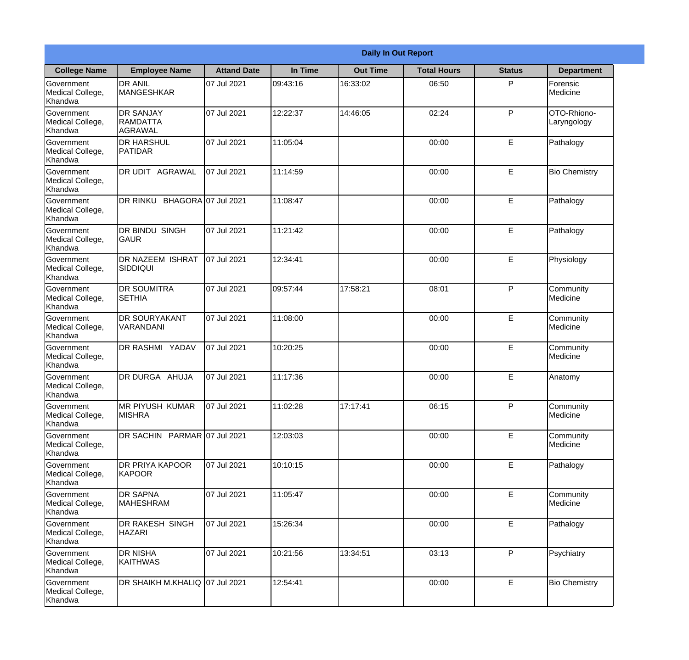|                                                  | <b>Daily In Out Report</b>                     |                    |          |                 |                    |               |                            |  |
|--------------------------------------------------|------------------------------------------------|--------------------|----------|-----------------|--------------------|---------------|----------------------------|--|
| <b>College Name</b>                              | <b>Employee Name</b>                           | <b>Attand Date</b> | In Time  | <b>Out Time</b> | <b>Total Hours</b> | <b>Status</b> | <b>Department</b>          |  |
| Government<br>Medical College,<br>Khandwa        | <b>DR ANIL</b><br><b>MANGESHKAR</b>            | 07 Jul 2021        | 09:43:16 | 16:33:02        | 06:50              | P             | Forensic<br>Medicine       |  |
| Government<br>Medical College,<br>Khandwa        | <b>DR SANJAY</b><br><b>RAMDATTA</b><br>AGRAWAL | 07 Jul 2021        | 12:22:37 | 14:46:05        | 02:24              | P             | OTO-Rhiono-<br>Laryngology |  |
| <b>Government</b><br>Medical College,<br>Khandwa | <b>I</b> DR HARSHUL<br>PATIDAR                 | 07 Jul 2021        | 11:05:04 |                 | 00:00              | E             | Pathalogy                  |  |
| <b>Government</b><br>Medical College,<br>Khandwa | <b>DR UDIT AGRAWAL</b>                         | 07 Jul 2021        | 11:14:59 |                 | 00:00              | E             | <b>Bio Chemistry</b>       |  |
| Government<br>Medical College,<br>Khandwa        | DR RINKU BHAGORA 07 Jul 2021                   |                    | 11:08:47 |                 | 00:00              | E             | Pathalogy                  |  |
| Government<br>Medical College,<br>Khandwa        | <b>DR BINDU SINGH</b><br><b>GAUR</b>           | 07 Jul 2021        | 11:21:42 |                 | 00:00              | $\mathsf E$   | Pathalogy                  |  |
| <b>Government</b><br>Medical College,<br>Khandwa | <b>DR NAZEEM ISHRAT</b><br> SIDDIQUI           | 07 Jul 2021        | 12:34:41 |                 | 00:00              | E             | Physiology                 |  |
| <b>Government</b><br>Medical College,<br>Khandwa | <b>DR SOUMITRA</b><br><b>SETHIA</b>            | 07 Jul 2021        | 09:57:44 | 17:58:21        | 08:01              | P             | Community<br>Medicine      |  |
| Government<br>Medical College,<br>Khandwa        | <b>DR SOURYAKANT</b><br>VARANDANI              | 07 Jul 2021        | 11:08:00 |                 | 00:00              | E             | Community<br>Medicine      |  |
| Government<br>Medical College,<br>Khandwa        | DR RASHMI YADAV                                | 07 Jul 2021        | 10:20:25 |                 | 00:00              | E             | Community<br>Medicine      |  |
| Government<br>Medical College,<br>Khandwa        | <b>IDR DURGA AHUJA</b>                         | 07 Jul 2021        | 11:17:36 |                 | 00:00              | E             | Anatomy                    |  |
| Government<br>Medical College,<br>Khandwa        | MR PIYUSH KUMAR<br><b>MISHRA</b>               | 07 Jul 2021        | 11:02:28 | 17:17:41        | 06:15              | P             | Community<br>Medicine      |  |
| Government<br>Medical College,<br>Khandwa        | DR SACHIN PARMAR 07 Jul 2021                   |                    | 12:03:03 |                 | 00:00              | E             | Community<br>Medicine      |  |
| Government<br>Medical College,<br>Khandwa        | <b>DR PRIYA KAPOOR</b><br>KAPOOR               | 07 Jul 2021        | 10:10:15 |                 | 00:00              | $\mathsf E$   | Pathalogy                  |  |
| Government<br>Medical College,<br>Khandwa        | <b>DR SAPNA</b><br><b>MAHESHRAM</b>            | 07 Jul 2021        | 11:05:47 |                 | 00:00              | E             | Community<br>Medicine      |  |
| Government<br>Medical College,<br>Khandwa        | <b>DR RAKESH SINGH</b><br><b>HAZARI</b>        | 07 Jul 2021        | 15:26:34 |                 | 00:00              | E             | Pathalogy                  |  |
| Government<br>Medical College,<br>Khandwa        | <b>DR NISHA</b><br><b>KAITHWAS</b>             | 07 Jul 2021        | 10:21:56 | 13:34:51        | 03:13              | P             | Psychiatry                 |  |
| Government<br>Medical College,<br>Khandwa        | DR SHAIKH M.KHALIQ 07 Jul 2021                 |                    | 12:54:41 |                 | 00:00              | $\mathsf E$   | <b>Bio Chemistry</b>       |  |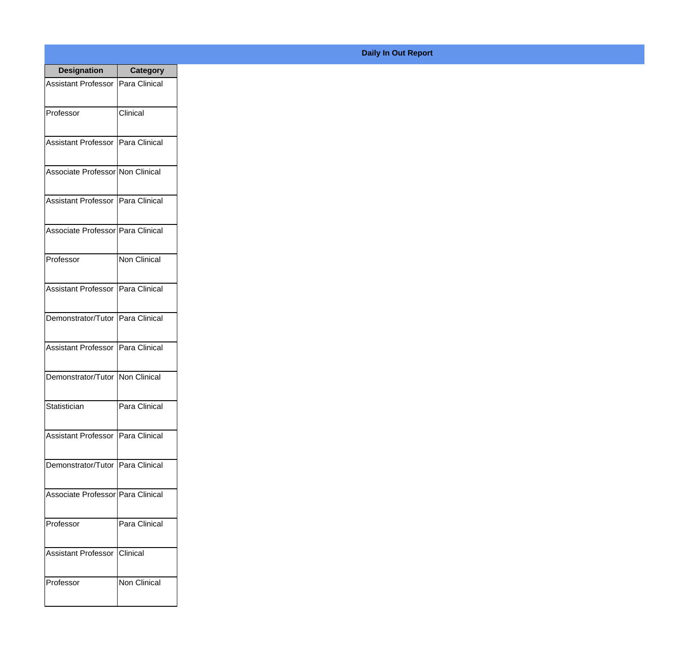| <b>Designation</b>                         | <b>Category</b>     |
|--------------------------------------------|---------------------|
| Assistant Professor   Para Clinical        |                     |
| Professor                                  | Clinical            |
| Assistant Professor   Para Clinical        |                     |
| Associate Professor Non Clinical           |                     |
| Assistant Professor   Para Clinical        |                     |
| Associate Professor Para Clinical          |                     |
| Professor                                  | Non Clinical        |
| Assistant Professor   Para Clinical        |                     |
| Demonstrator/Tutor   Para Clinical         |                     |
| Assistant Professor   Para Clinical        |                     |
| Demonstrator/Tutor   Non Clinical          |                     |
| Statistician                               | Para Clinical       |
| <b>Assistant Professor   Para Clinical</b> |                     |
| Demonstrator/Tutor   Para Clinical         |                     |
| Associate Professor Para Clinical          |                     |
| Professor                                  | Para Clinical       |
| <b>Assistant Professor</b>                 | Clinical            |
| Professor                                  | <b>Non Clinical</b> |

## **Daily In Out Report**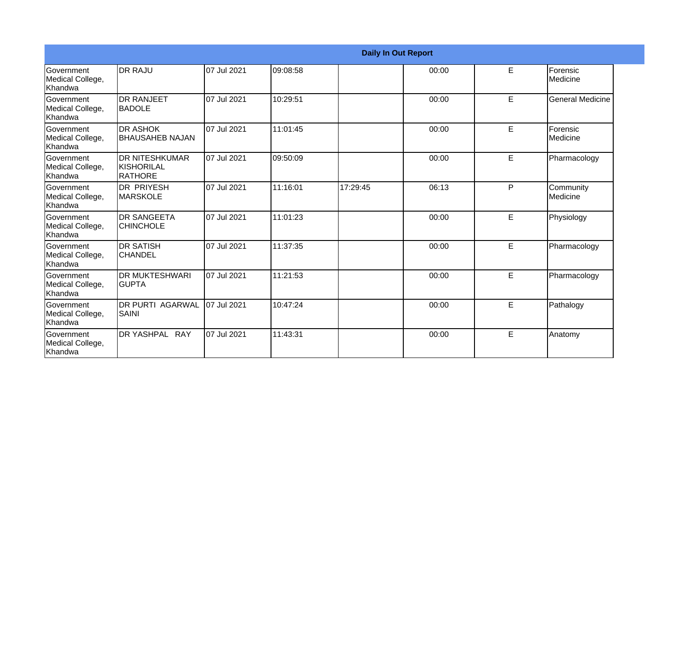|                                                  | <b>Daily In Out Report</b>                            |             |          |          |       |   |                         |  |
|--------------------------------------------------|-------------------------------------------------------|-------------|----------|----------|-------|---|-------------------------|--|
| <b>Government</b><br>Medical College,<br>Khandwa | <b>DR RAJU</b>                                        | 07 Jul 2021 | 09:08:58 |          | 00:00 | E | Forensic<br>Medicine    |  |
| <b>Government</b><br>Medical College,<br>Khandwa | <b>DR RANJEET</b><br><b>BADOLE</b>                    | 07 Jul 2021 | 10:29:51 |          | 00:00 | E | <b>General Medicine</b> |  |
| Government<br>Medical College,<br>Khandwa        | <b>DR ASHOK</b><br><b>BHAUSAHEB NAJAN</b>             | 07 Jul 2021 | 11:01:45 |          | 00:00 | E | Forensic<br>Medicine    |  |
| <b>Government</b><br>Medical College,<br>Khandwa | <b>DR NITESHKUMAR</b><br>KISHORILAL<br><b>RATHORE</b> | 07 Jul 2021 | 09:50:09 |          | 00:00 | E | Pharmacology            |  |
| Government<br>Medical College,<br>Khandwa        | <b>DR PRIYESH</b><br><b>MARSKOLE</b>                  | 07 Jul 2021 | 11:16:01 | 17:29:45 | 06:13 | P | Community<br>Medicine   |  |
| <b>Sovernment</b><br>Medical College,<br>Khandwa | <b>DR SANGEETA</b><br><b>CHINCHOLE</b>                | 07 Jul 2021 | 11:01:23 |          | 00:00 | E | Physiology              |  |
| Government<br>Medical College,<br>Khandwa        | <b>DR SATISH</b><br><b>CHANDEL</b>                    | 07 Jul 2021 | 11:37:35 |          | 00:00 | E | Pharmacology            |  |
| Government<br>Medical College,<br>Khandwa        | <b>DR MUKTESHWARI</b><br><b>GUPTA</b>                 | 07 Jul 2021 | 11:21:53 |          | 00:00 | E | Pharmacology            |  |
| Government<br>Medical College,<br>Khandwa        | <b>DR PURTI AGARWAL</b><br>SAINI                      | 07 Jul 2021 | 10:47:24 |          | 00:00 | E | Pathalogy               |  |
| Government<br>Medical College,<br>Khandwa        | DR YASHPAL RAY                                        | 07 Jul 2021 | 11:43:31 |          | 00:00 | E | Anatomy                 |  |